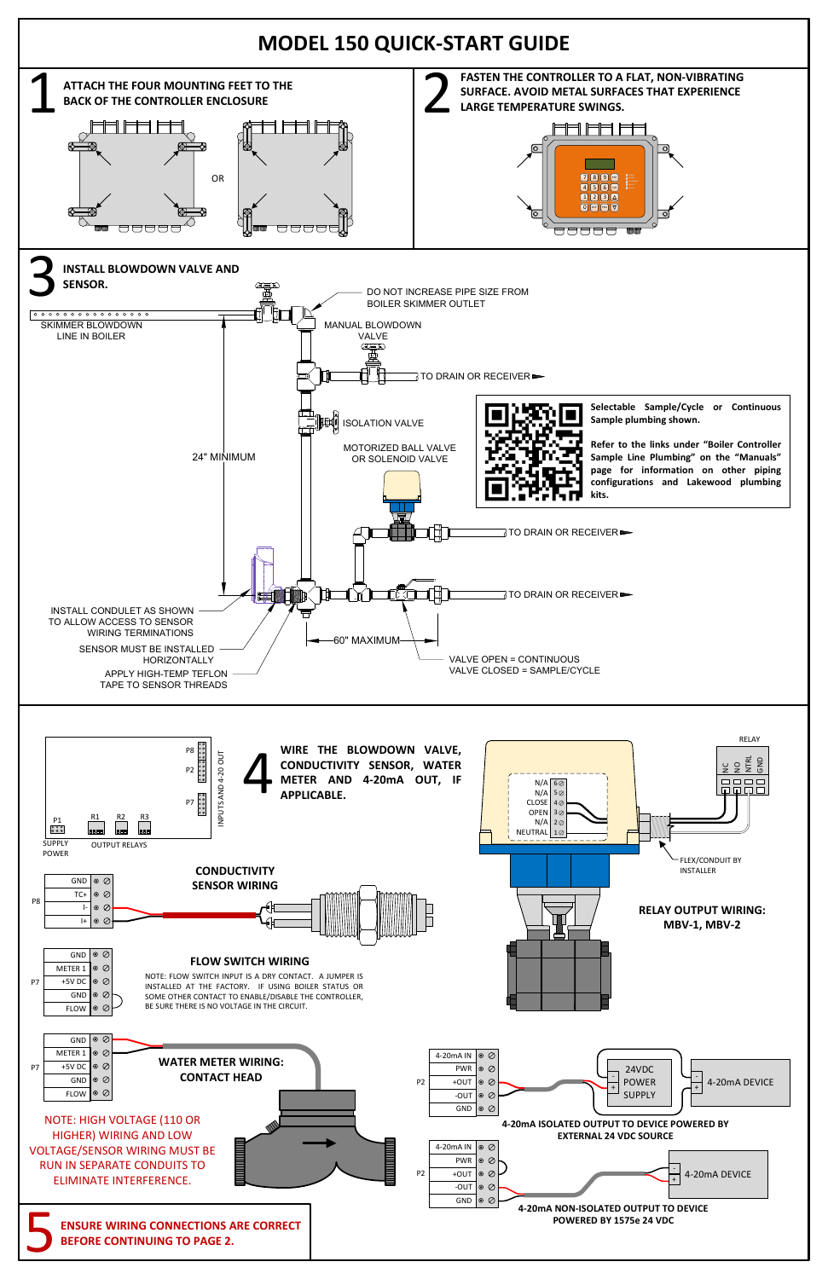